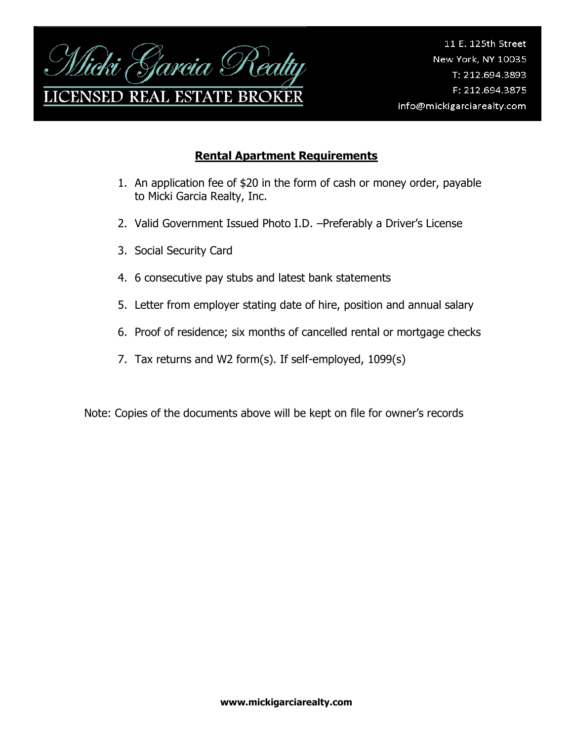

## **Rental Apartment Requirements**

- 1. An application fee of \$20 in the form of cash or money order, payable to Micki Garcia Realty, Inc.
- 2. Valid Government Issued Photo I.D. –Preferably a Driver's License
- 3. Social Security Card
- 4. 6 consecutive pay stubs and latest bank statements
- 5. Letter from employer stating date of hire, position and annual salary
- 6. Proof of residence; six months of cancelled rental or mortgage checks
- 7. Tax returns and W2 form(s). If self-employed, 1099(s)

Note: Copies of the documents above will be kept on file for owner's records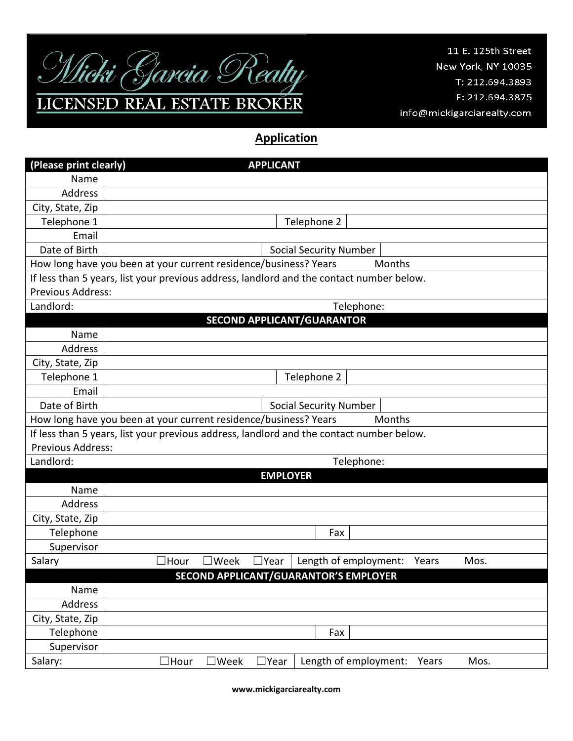

11 E. 125th Street New York, NY 10035 T: 212.694.3893 F: 212.694.3875 info@mickigarciarealty.com

## **Application**

| (Please print clearly)                                                                   | <b>APPLICANT</b>                                                                          |  |  |  |
|------------------------------------------------------------------------------------------|-------------------------------------------------------------------------------------------|--|--|--|
| Name                                                                                     |                                                                                           |  |  |  |
| Address                                                                                  |                                                                                           |  |  |  |
| City, State, Zip                                                                         |                                                                                           |  |  |  |
| Telephone 1                                                                              | Telephone 2                                                                               |  |  |  |
| Email                                                                                    |                                                                                           |  |  |  |
| Date of Birth                                                                            | <b>Social Security Number</b>                                                             |  |  |  |
| Months<br>How long have you been at your current residence/business? Years               |                                                                                           |  |  |  |
| If less than 5 years, list your previous address, landlord and the contact number below. |                                                                                           |  |  |  |
| <b>Previous Address:</b>                                                                 |                                                                                           |  |  |  |
| Landlord:                                                                                | Telephone:                                                                                |  |  |  |
| <b>SECOND APPLICANT/GUARANTOR</b>                                                        |                                                                                           |  |  |  |
| Name                                                                                     |                                                                                           |  |  |  |
| Address                                                                                  |                                                                                           |  |  |  |
| City, State, Zip                                                                         |                                                                                           |  |  |  |
| Telephone 1                                                                              | Telephone 2                                                                               |  |  |  |
| Email                                                                                    |                                                                                           |  |  |  |
| Date of Birth                                                                            | <b>Social Security Number</b>                                                             |  |  |  |
| How long have you been at your current residence/business? Years<br><b>Months</b>        |                                                                                           |  |  |  |
| If less than 5 years, list your previous address, landlord and the contact number below. |                                                                                           |  |  |  |
| Previous Address:                                                                        |                                                                                           |  |  |  |
| Landlord:                                                                                | Telephone:                                                                                |  |  |  |
| <b>EMPLOYER</b>                                                                          |                                                                                           |  |  |  |
| Name                                                                                     |                                                                                           |  |  |  |
| Address                                                                                  |                                                                                           |  |  |  |
| City, State, Zip                                                                         |                                                                                           |  |  |  |
| Telephone                                                                                | Fax                                                                                       |  |  |  |
| Supervisor                                                                               |                                                                                           |  |  |  |
| Salary                                                                                   | Length of employment:<br>$\Box$ Week<br>$\Box$ Year<br>Mos.<br>$\Box$ Hour<br>Years       |  |  |  |
| SECOND APPLICANT/GUARANTOR'S EMPLOYER                                                    |                                                                                           |  |  |  |
| Name                                                                                     |                                                                                           |  |  |  |
| Address                                                                                  |                                                                                           |  |  |  |
| City, State, Zip                                                                         |                                                                                           |  |  |  |
| Telephone                                                                                | Fax                                                                                       |  |  |  |
| Supervisor                                                                               |                                                                                           |  |  |  |
| Salary:                                                                                  | Length of employment:<br>$\Box$ Hour<br>$\exists$ Week<br>$\square$ Year<br>Years<br>Mos. |  |  |  |